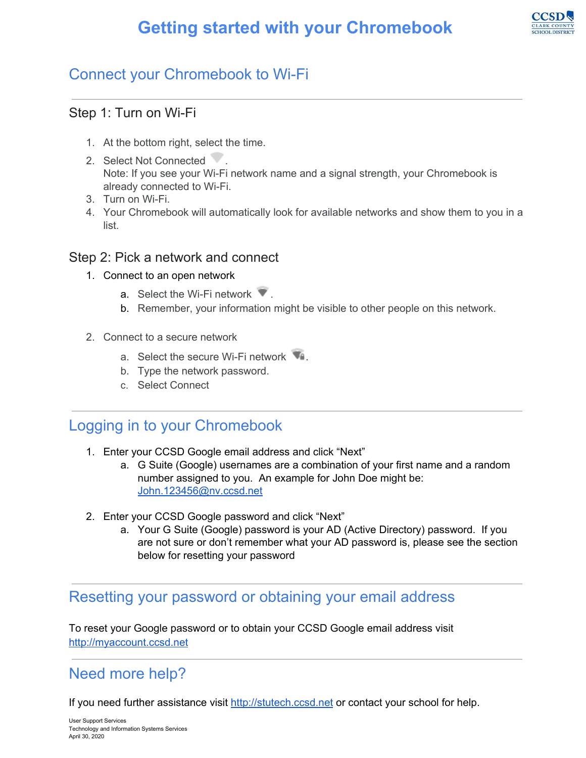# **Getting started with your Chromebook**



# Connect your Chromebook to Wi-Fi

#### Step 1: Turn on Wi-Fi

- 1. At the bottom right, select the time.
- 2. Select Not Connected . Note: If you see your Wi-Fi network name and a signal strength, your Chromebook is already connected to Wi-Fi.
- 3. Turn on Wi-Fi.
- 4. Your Chromebook will automatically look for available networks and show them to you in a list.

#### Step 2: Pick a network and connect

- 1. Connect to an open network
	- a. Select the Wi-Fi network  $\blacksquare$ .
	- b. Remember, your information might be visible to other people on this network.
- 2. Connect to a secure network
	- a. Select the secure Wi-Fi network
	- b. Type the network password.
	- c. Select Connect

#### Logging in to your Chromebook

- 1. Enter your CCSD Google email address and click "Next"
	- a. G Suite (Google) usernames are a combination of your first name and a random number assigned to you. An example for John Doe might be: [John.123456@nv.ccsd.net](mailto:John.123456@nv.ccsd.net)
- 2. Enter your CCSD Google password and click "Next"
	- a. Your G Suite (Google) password is your AD (Active Directory) password. If you are not sure or don't remember what your AD password is, please see the section below for resetting your password

### Resetting your password or obtaining your email address

To reset your Google password or to obtain your CCSD Google email address visit [http://myaccount.ccsd.net](http://myaccount.ccsd.net/)

## Need more help?

If you need further assistance visit [http://stutech.ccsd.net](http://stutech.ccsd.net/) or contact your school for help.